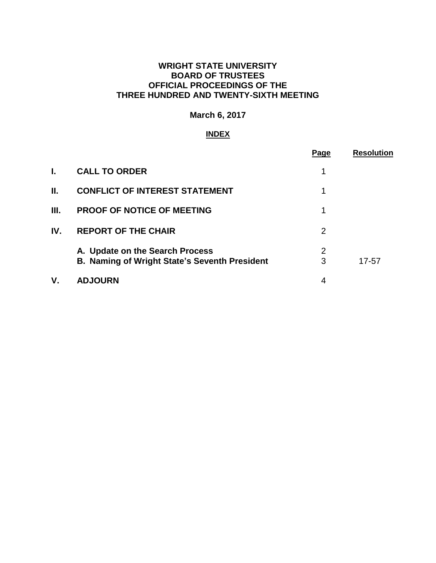# **WRIGHT STATE UNIVERSITY BOARD OF TRUSTEES OFFICIAL PROCEEDINGS OF THE THREE HUNDRED AND TWENTY-SIXTH MEETING**

# **March 6, 2017**

# **INDEX**

|     |                                                                                         | Page   | <b>Resolution</b> |
|-----|-----------------------------------------------------------------------------------------|--------|-------------------|
| I.  | <b>CALL TO ORDER</b>                                                                    | 1      |                   |
| II. | <b>CONFLICT OF INTEREST STATEMENT</b>                                                   | 1      |                   |
| Ш.  | <b>PROOF OF NOTICE OF MEETING</b>                                                       | 1      |                   |
| IV. | <b>REPORT OF THE CHAIR</b>                                                              | 2      |                   |
|     | A. Update on the Search Process<br><b>B. Naming of Wright State's Seventh President</b> | 2<br>3 | 17-57             |
| ۷.  | <b>ADJOURN</b>                                                                          | 4      |                   |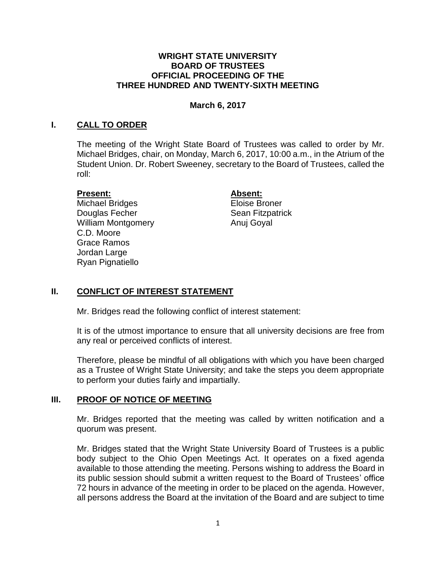#### **WRIGHT STATE UNIVERSITY BOARD OF TRUSTEES OFFICIAL PROCEEDING OF THE THREE HUNDRED AND TWENTY-SIXTH MEETING**

### **March 6, 2017**

### **I. CALL TO ORDER**

The meeting of the Wright State Board of Trustees was called to order by Mr. Michael Bridges, chair, on Monday, March 6, 2017, 10:00 a.m., in the Atrium of the Student Union. Dr. Robert Sweeney, secretary to the Board of Trustees, called the roll:

#### **Present: Absent:**

Michael Bridges **Eloise Broner Douglas Fecher Sean Fitzpatrick** William Montgomery **Anuj Goyal** C.D. Moore Grace Ramos Jordan Large Ryan Pignatiello

#### **II. CONFLICT OF INTEREST STATEMENT**

Mr. Bridges read the following conflict of interest statement:

It is of the utmost importance to ensure that all university decisions are free from any real or perceived conflicts of interest.

Therefore, please be mindful of all obligations with which you have been charged as a Trustee of Wright State University; and take the steps you deem appropriate to perform your duties fairly and impartially.

#### **III. PROOF OF NOTICE OF MEETING**

Mr. Bridges reported that the meeting was called by written notification and a quorum was present.

Mr. Bridges stated that the Wright State University Board of Trustees is a public body subject to the Ohio Open Meetings Act. It operates on a fixed agenda available to those attending the meeting. Persons wishing to address the Board in its public session should submit a written request to the Board of Trustees' office 72 hours in advance of the meeting in order to be placed on the agenda. However, all persons address the Board at the invitation of the Board and are subject to time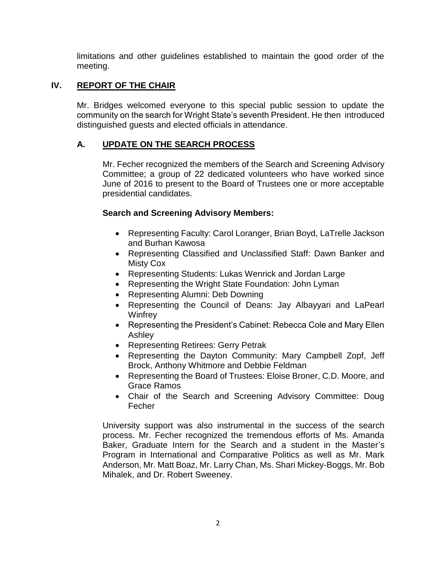limitations and other guidelines established to maintain the good order of the meeting.

# **IV. REPORT OF THE CHAIR**

Mr. Bridges welcomed everyone to this special public session to update the community on the search for Wright State's seventh President. He then introduced distinguished guests and elected officials in attendance.

# **A. UPDATE ON THE SEARCH PROCESS**

Mr. Fecher recognized the members of the Search and Screening Advisory Committee; a group of 22 dedicated volunteers who have worked since June of 2016 to present to the Board of Trustees one or more acceptable presidential candidates.

# **Search and Screening Advisory Members:**

- Representing Faculty: Carol Loranger, Brian Boyd, LaTrelle Jackson and Burhan Kawosa
- Representing Classified and Unclassified Staff: Dawn Banker and Misty Cox
- Representing Students: Lukas Wenrick and Jordan Large
- Representing the Wright State Foundation: John Lyman
- Representing Alumni: Deb Downing
- Representing the Council of Deans: Jay Albayyari and LaPearl **Winfrey**
- Representing the President's Cabinet: Rebecca Cole and Mary Ellen Ashley
- Representing Retirees: Gerry Petrak
- Representing the Dayton Community: Mary Campbell Zopf, Jeff Brock, Anthony Whitmore and Debbie Feldman
- Representing the Board of Trustees: Eloise Broner, C.D. Moore, and Grace Ramos
- Chair of the Search and Screening Advisory Committee: Doug Fecher

University support was also instrumental in the success of the search process. Mr. Fecher recognized the tremendous efforts of Ms. Amanda Baker, Graduate Intern for the Search and a student in the Master's Program in International and Comparative Politics as well as Mr. Mark Anderson, Mr. Matt Boaz, Mr. Larry Chan, Ms. Shari Mickey-Boggs, Mr. Bob Mihalek, and Dr. Robert Sweeney.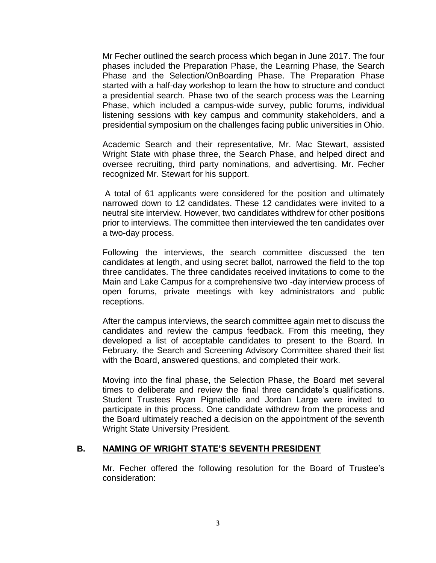Mr Fecher outlined the search process which began in June 2017. The four phases included the Preparation Phase, the Learning Phase, the Search Phase and the Selection/OnBoarding Phase. The Preparation Phase started with a half-day workshop to learn the how to structure and conduct a presidential search. Phase two of the search process was the Learning Phase, which included a campus-wide survey, public forums, individual listening sessions with key campus and community stakeholders, and a presidential symposium on the challenges facing public universities in Ohio.

Academic Search and their representative, Mr. Mac Stewart, assisted Wright State with phase three, the Search Phase, and helped direct and oversee recruiting, third party nominations, and advertising. Mr. Fecher recognized Mr. Stewart for his support.

A total of 61 applicants were considered for the position and ultimately narrowed down to 12 candidates. These 12 candidates were invited to a neutral site interview. However, two candidates withdrew for other positions prior to interviews. The committee then interviewed the ten candidates over a two-day process.

Following the interviews, the search committee discussed the ten candidates at length, and using secret ballot, narrowed the field to the top three candidates. The three candidates received invitations to come to the Main and Lake Campus for a comprehensive two -day interview process of open forums, private meetings with key administrators and public receptions.

After the campus interviews, the search committee again met to discuss the candidates and review the campus feedback. From this meeting, they developed a list of acceptable candidates to present to the Board. In February, the Search and Screening Advisory Committee shared their list with the Board, answered questions, and completed their work.

Moving into the final phase, the Selection Phase, the Board met several times to deliberate and review the final three candidate's qualifications. Student Trustees Ryan Pignatiello and Jordan Large were invited to participate in this process. One candidate withdrew from the process and the Board ultimately reached a decision on the appointment of the seventh Wright State University President.

## **B. NAMING OF WRIGHT STATE'S SEVENTH PRESIDENT**

Mr. Fecher offered the following resolution for the Board of Trustee's consideration: